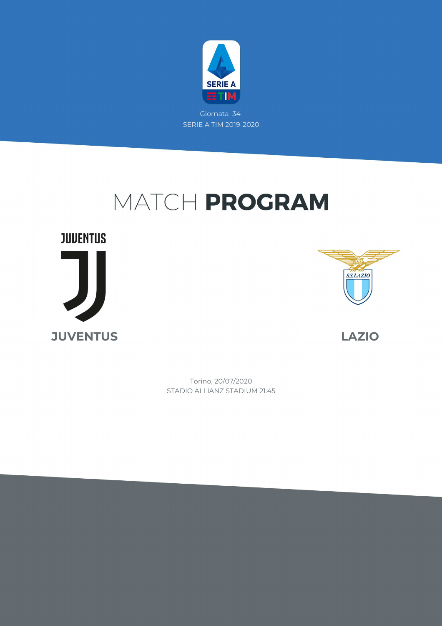

Giornata 34 SERIE A TIM 2019-2020

# MATCH PROGRAM

**JUVENTUS JUVENTUS LAZIO**



STADIO ALLIANZ STADIUM 21:45 Torino, 20/07/2020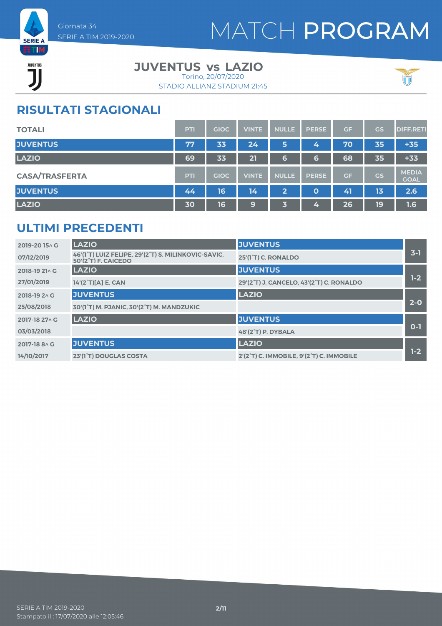

JUVENTUS ĨÏ

#### **JUVENTUS LAZIO vs** Torino, 20/07/2020

STADIO ALLIANZ STADIUM 21:45



### **RISULTATI STAGIONALI**

| <b>TOTALI</b>         | <b>PTI</b> | <b>GIOC</b> | <b>VINTE</b> | <b>NULLE</b> | <b>PERSE</b> | GF | GS        | <b>DIFF.RETI</b>            |
|-----------------------|------------|-------------|--------------|--------------|--------------|----|-----------|-----------------------------|
| <b>JUVENTUS</b>       | 77         | 33          | 24           | 5            | 4            | 70 | 35        | $+35$                       |
| <b>LAZIO</b>          | 69         | 33          | 21           | 6            | 6            | 68 | 35        | $+33$                       |
| <b>CASA/TRASFERTA</b> | <b>PTI</b> | <b>GIOC</b> | <b>VINTE</b> | <b>NULLE</b> | <b>PERSE</b> | GF | <b>GS</b> | <b>MEDIA</b><br><b>GOAL</b> |
| <b>JUVENTUS</b>       | 44         | 16          | 14           | $\mathbf{2}$ | $\mathbf 0$  | 41 | 13        | 2.6                         |
| <b>LAZIO</b>          | 30         | 16          | 9            | 了            | 4,           | 26 | 19        | 1.6                         |

### **ULTIMI PRECEDENTI**

| 2019-2015^G    | <b>LAZIO</b>                                                                        | <b>JUVENTUS</b>                          |         |
|----------------|-------------------------------------------------------------------------------------|------------------------------------------|---------|
| 07/12/2019     | 46'(1°T) LUIZ FELIPE, 29'(2°T) S. MILINKOVIC-SAVIC,<br>$50'(2^{\circ}T)$ F. CAICEDO | 25'(1 <sup>°</sup> T) C. RONALDO         | $3 - 1$ |
| 2018-19 21^ G  | <b>LAZIO</b>                                                                        | <b>JUVENTUS</b>                          |         |
| 27/01/2019     | 14'(2°T)[A] E. CAN                                                                  | 29'(2°T) J. CANCELO, 43'(2°T) C. RONALDO | $1-2$   |
| 2018-19 2 \ G  | <b>JUVENTUS</b>                                                                     | <b>LAZIO</b>                             |         |
| 25/08/2018     | 30'(1°T) M. PJANIC, 30'(2°T) M. MANDZUKIC                                           |                                          | $2-0$   |
| 2017-18 27 \ G | <b>LAZIO</b>                                                                        | <b>JUVENTUS</b>                          |         |
| 03/03/2018     |                                                                                     | 48'(2°T) P. DYBALA                       | $O-1$   |
| 2017-18 8 \ G  | <b>JUVENTUS</b>                                                                     | <b>LAZIO</b>                             |         |
| 14/10/2017     | 23'(1°T) DOUGLAS COSTA                                                              | 2'(2°T) C. IMMOBILE. 9'(2°T) C. IMMOBILE | $1-2$   |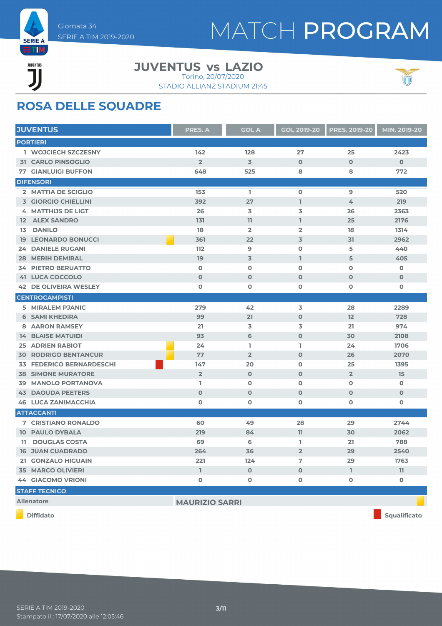

JUVENTUS ĨÏ

#### **JUVENTUS LAZIO vs** Torino, 20/07/2020

STADIO ALLIANZ STADIUM 21:45



### **ROSA DELLE SQUADRE**

| <b>JUVENTUS</b>                     | <b>PRES. A</b>        | <b>GOL A</b>   | <b>GOL 2019-20</b> | <b>PRES. 2019-20</b> | MIN. 2019-20 |
|-------------------------------------|-----------------------|----------------|--------------------|----------------------|--------------|
| <b>PORTIERI</b>                     |                       |                |                    |                      |              |
| 1 WOJCIECH SZCZESNY                 | 142                   | 128            | 27                 | 25                   | 2423         |
| <b>31 CARLO PINSOGLIO</b>           | $\overline{2}$        | 3              | $\mathbf 0$        | $\mathbf 0$          | $\mathbf 0$  |
| <b>77 GIANLUIGI BUFFON</b>          | 648                   | 525            | 8                  | 8                    | 772          |
| <b>DIFENSORI</b>                    |                       |                |                    |                      |              |
| 2 MATTIA DE SCIGLIO                 | 153                   | L.             | $\mathbf 0$        | 9                    | 520          |
| <b>3 GIORGIO CHIELLINI</b>          | 392                   | 27             | T.                 | 4                    | 219          |
| 4 MATTHIJS DE LIGT                  | 26                    | 3              | 3                  | 26                   | 2363         |
| <b>12 ALEX SANDRO</b>               | 131                   | 11             | L                  | 25                   | 2176         |
| <b>DANILO</b><br>13                 | 18                    | $\overline{2}$ | $\overline{2}$     | 18                   | 1314         |
| <b>19 LEONARDO BONUCCI</b>          | 361                   | 22             | $\overline{3}$     | 31                   | 2962         |
| <b>24 DANIELE RUGANI</b>            | 112                   | 9              | $\mathbf 0$        | 5                    | 440          |
| <b>28 MERIH DEMIRAL</b>             | 19                    | 3              | T.                 | 5                    | 405          |
| <b>34 PIETRO BERUATTO</b>           | $\mathbf 0$           | $\mathbf 0$    | $\mathbf 0$        | $\mathbf 0$          | 0            |
| <b>41 LUCA COCCOLO</b>              | $\mathbf 0$           | $\mathbf 0$    | $\mathbf 0$        | $\mathbf 0$          | $\mathbf 0$  |
| <b>42 DE OLIVEIRA WESLEY</b>        | $\mathbf 0$           | O              | $\mathbf 0$        | 0                    | 0            |
| <b>CENTROCAMPISTI</b>               |                       |                |                    |                      |              |
| 5 MIRALEM PJANIC                    | 279                   | 42             | 3                  | 28                   | 2289         |
| <b>6 SAMI KHEDIRA</b>               | 99                    | 21             | $\mathbf 0$        | 12                   | 728          |
| <b>8 AARON RAMSEY</b>               | 21                    | 3              | 3                  | 21                   | 974          |
| <b>14 BLAISE MATUIDI</b>            | 93                    | 6              | $\mathbf 0$        | 30                   | 2108         |
| <b>25 ADRIEN RABIOT</b>             | 24                    | L.             | L                  | 24                   | 1706         |
| <b>30 RODRIGO BENTANCUR</b>         | 77                    | $\overline{2}$ | $\mathbf 0$        | 26                   | 2070         |
| <b>FEDERICO BERNARDESCHI</b><br>33. | 147                   | 20             | $\mathbf 0$        | 25                   | 1395         |
| <b>38 SIMONE MURATORE</b>           | $\overline{2}$        | $\mathbf 0$    | $\mathbf 0$        | $\overline{2}$       | 15           |
| 39 MANOLO PORTANOVA                 | L                     | $\mathbf 0$    | $\mathbf 0$        | $\mathbf 0$          | 0            |
| <b>43 DAOUDA PEETERS</b>            | $\mathbf 0$           | $\mathbf 0$    | $\mathbf 0$        | $\mathbf 0$          | $\mathbf 0$  |
| <b>46 LUCA ZANIMACCHIA</b>          | O                     | 0              | 0                  | 0                    | O            |
| <b>ATTACCANTI</b>                   |                       |                |                    |                      |              |
| <b>7 CRISTIANO RONALDO</b>          | 60                    | 49             | 28                 | 29                   | 2744         |
| <b>10 PAULO DYBALA</b>              | 219                   | 84             | 11                 | 30                   | 2062         |
| 11 DOUGLAS COSTA                    | 69                    | 6              | L.                 | 21                   | 788          |
| <b>16 JUAN CUADRADO</b>             | 264                   | 36             | $\overline{2}$     | 29                   | 2540         |
| 21 GONZALO HIGUAIN                  | 221                   | 124            | 7                  | 29                   | 1763         |
| <b>35 MARCO OLIVIERI</b>            | $\mathbb{I}$          | $\mathbf 0$    | $\mathbf 0$        | $\mathbb{L}$         | 11           |
| <b>44 GIACOMO VRIONI</b>            | $\mathbf 0$           | 0              | $\mathbf 0$        | $\mathbf 0$          | $\mathbf 0$  |
| <b>STAFF TECNICO</b>                |                       |                |                    |                      |              |
| <b>Allenatore</b>                   | <b>MAURIZIO SARRI</b> |                |                    |                      |              |
| <b>Diffidato</b>                    |                       |                |                    |                      | Squalificato |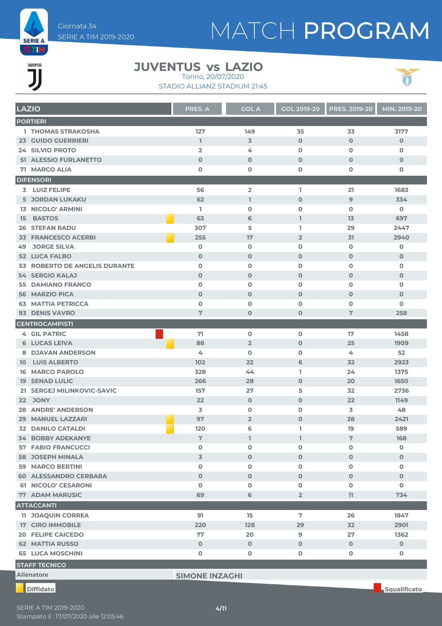

Giornata 34 SERIE A TIM 2019-2020

# MATCH PROGRAM

# 

#### **JUVENTUS LAZIO vs** Torino, 20/07/2020

STADIO ALLIANZ STADIUM 21:45



| <b>LAZIO</b> |                                                      | <b>PRES. A</b>   | <b>GOL A</b>        | <b>GOL 2019-20</b> | <b>PRES. 2019-20</b> | MIN. 2019-20 |
|--------------|------------------------------------------------------|------------------|---------------------|--------------------|----------------------|--------------|
|              | <b>PORTIERI</b>                                      |                  |                     |                    |                      |              |
|              | <b>1 THOMAS STRAKOSHA</b>                            | 127              | 149                 | 35                 | 33                   | 3177         |
|              | <b>23 GUIDO GUERRIERI</b>                            | $\mathbb{I}$     | 3                   | $\mathbf 0$        | $\mathbf 0$          | $\mathbf 0$  |
|              | 24 SILVIO PROTO                                      | $\overline{2}$   | 4                   | $\mathbf 0$        | $\mathbf 0$          | $\mathbf 0$  |
|              | <b>51 ALESSIO FURLANETTO</b>                         | $\mathbf 0$      | $\mathbf 0$         | $\mathbf{O}$       | $\mathbf 0$          | $\mathbf 0$  |
|              | 71 MARCO ALIA                                        | $\mathbf 0$      | $\mathbf 0$         | 0                  | 0                    | 0            |
|              | <b>DIFENSORI</b>                                     |                  |                     |                    |                      |              |
|              | <b>3 LUIZ FELIPE</b>                                 | 56               | $\overline{2}$      | I.                 | 21                   | 1683         |
|              | <b>5 JORDAN LUKAKU</b>                               | 62               | $\mathbb{I}$        | $\mathbf 0$        | 9                    | 334          |
|              | <b>13 NICOLO' ARMINI</b>                             | L                | O                   | 0                  | $\mathbf 0$          | 0            |
| 15           | <b>BASTOS</b>                                        | 63               | 6                   | $\mathbf{I}$       | 13                   | 697          |
|              | <b>26 STEFAN RADU</b>                                | 307              | 5                   | L                  | 29                   | 2447         |
|              | <b>33 FRANCESCO ACERBI</b>                           | 255              | 17                  | $\overline{2}$     | 31                   | 2940         |
| 49           | <b>JORGE SILVA</b>                                   | $\mathbf 0$      | $\mathbf 0$         | $\mathbf o$        | $\mathbf 0$          | $\mathbf 0$  |
|              | <b>52 LUCA FALBO</b>                                 | $\mathbf 0$      | $\mathbf 0$         | $\mathbf{O}$       | $\mathbf 0$          | $\mathbf 0$  |
|              | 53 ROBERTO DE ANGELIS DURANTE                        | $\mathbf 0$      | $\mathbf 0$         | 0                  | $\mathbf 0$          | 0            |
|              | <b>54 SERGIO KALAJ</b>                               | $\mathbf 0$      | $\mathbf 0$         | $\mathbf 0$        | $\mathbf 0$          | $\mathbf 0$  |
|              | <b>55 DAMIANO FRANCO</b>                             | $\mathbf 0$      | $\mathbf 0$         | $\mathbf o$        | $\mathbf 0$          | $\mathbf 0$  |
|              | <b>56 MARZIO PICA</b>                                | $\mathbf 0$      | $\mathbf 0$         | $\mathbf{O}$       | $\mathbf 0$          | $\mathbf 0$  |
|              | <b>63 MATTIA PETRICCA</b>                            | $\mathbf 0$      | $\mathbf 0$         | 0                  | $\mathbf 0$          | 0            |
|              | 93 DENIS VAVRO                                       | 7                | $\mathbf 0$         | 0                  | 7                    | 258          |
|              | <b>CENTROCAMPISTI</b>                                |                  |                     |                    |                      |              |
|              | <b>4 GIL PATRIC</b>                                  | 71               | $\mathbf 0$         | $\mathbf 0$        | 17                   | 1458         |
|              | <b>6 LUCAS LEIVA</b>                                 | 88               | $\overline{2}$      | $\mathbf{O}$       | 25                   | 1909         |
|              | <b>8 DJAVAN ANDERSON</b>                             | 4                | $\mathbf 0$         | O                  | 4                    | 52           |
|              | <b>10 LUIS ALBERTO</b>                               | 102              | 22                  | 6                  | 32                   | 2923         |
|              | <b>16 MARCO PAROLO</b>                               | 328              | 44                  | L                  | 24                   | 1375         |
|              | <b>19 SENAD LULIC</b>                                | 266              | 28                  | $\mathbf{O}$       | 20                   | 1650         |
|              | 21 SERGEJ MILINKOVIC-SAVIC                           | 157              | 27                  | 5                  | 32                   | 2736         |
|              | 22 JONY                                              | 22               | $\mathbf 0$         | $\mathbf 0$        | 22                   | 1149         |
|              | <b>28 ANDRE' ANDERSON</b><br>29 MANUEL LAZZARI       | 3                | $\mathbf 0$         | $\mathbf o$        | 3                    | 48           |
|              |                                                      | 97<br>120        | $\overline{2}$<br>6 | $\mathbf{O}$       | 28<br>19             | 2421<br>589  |
|              | <b>32 DANILO CATALDI</b><br><b>34 BOBBY ADEKANYE</b> |                  |                     | L                  |                      |              |
|              | <b>57 FABIO FRANCUCCI</b>                            | 7<br>$\mathbf 0$ | L<br>O              | 1<br>0             | 7<br>$\mathbf 0$     | 168<br>0     |
|              | <b>58 JOSEPH MINALA</b>                              | $\mathbf 3$      | $\mathbf 0$         | $\mathbf{O}$       | $\mathbf 0$          | $\mathbf 0$  |
|              | <b>59 MARCO BERTINI</b>                              | $\mathbf 0$      | $\mathbf 0$         | 0                  | 0                    | 0            |
|              | <b>60 ALESSANDRO CERBARA</b>                         | $\mathbf{O}$     | $\mathbf 0$         | $\mathbf 0$        | $\mathbf 0$          | $\mathbf 0$  |
|              | 61 NICOLO' CESARONI                                  | $\mathbf 0$      | $\mathbf 0$         | 0                  | 0                    | $\mathbf 0$  |
|              | <b>77 ADAM MARUSIC</b>                               | 69               | 6                   | $\overline{2}$     | 11                   | 734          |
|              | <b>ATTACCANTI</b>                                    |                  |                     |                    |                      |              |
|              | <b>11 JOAQUIN CORREA</b>                             | 91               | 15                  | $\overline{7}$     | 26                   | 1847         |
|              | <b>17 CIRO IMMOBILE</b>                              | 220              | 128                 | 29                 | 32                   | 2901         |
|              | <b>20 FELIPE CAICEDO</b>                             | 77               | 20                  | 9                  | 27                   | 1362         |
|              | <b>62 MATTIA RUSSO</b>                               | $\mathbf 0$      | $\mathbf 0$         | $\mathbf 0$        | $\mathbf 0$          | $\mathbf 0$  |
|              | <b>65 LUCA MOSCHINI</b>                              | $\mathbf 0$      | $\mathbf 0$         | 0                  | 0                    | O            |
|              | <b>STAFF TECNICO</b>                                 |                  |                     |                    |                      |              |
|              |                                                      |                  |                     |                    |                      |              |

**Allenatore SIMONE INZAGHI**

Stampato il : 17/07/2020 alle 12:05:46 SERIE A TIM 2019-2020 **4/11**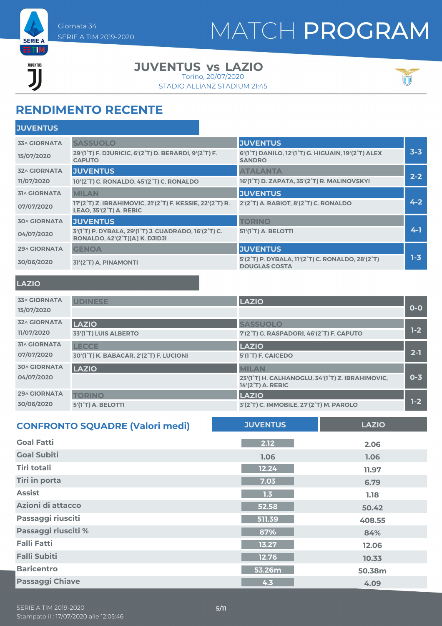

JUVENTUS ĨÏ

#### **JUVENTUS LAZIO vs**

STADIO ALLIANZ STADIUM 21:45 Torino, 20/07/2020



### **RENDIMENTO RECENTE**

| <b>JUVENTUS</b><br><b>33^ GIORNATA</b><br><b>SASSUOLO</b><br>$3 - 3$<br>29'(1°T) F. DJURICIC, 6'(2°T) D. BERARDI, 9'(2°T) F.<br>6'(1°T) DANILO, 12'(1°T) G. HIGUAIN, 19'(2°T) ALEX<br>15/07/2020<br><b>CAPUTO</b><br><b>SANDRO</b><br><b>JUVENTUS</b><br><b>ATALANTA</b><br><b>32^ GIORNATA</b><br>$2 - 2$<br>16'(1°T) D. ZAPATA, 35'(2°T) R. MALINOVSKYI<br>11/07/2020<br>10'(2°T) C. RONALDO, 45'(2°T) C. RONALDO<br><b>JUVENTUS</b><br><b>MILAN</b><br><b>31^ GIORNATA</b><br>$4 - 2$<br>17'(2°T) Z. IBRAHIMOVIC, 21'(2°T) F. KESSIE, 22'(2°T) R.<br>2'(2°T) A. RABIOT, 8'(2°T) C. RONALDO<br>07/07/2020<br><b>LEAO, 35'(2°T) A. REBIC</b><br><b>JUVENTUS</b><br><b>TORINO</b><br><b>30^ GIORNATA</b><br>$4 - 1$<br>3'(1°T) P. DYBALA, 29'(1°T) J. CUADRADO, 16'(2°T) C.<br><b>51'(1<sup>°</sup>T) A. BELOTTI</b><br>04/07/2020<br><b>RONALDO, 42'(2°T)[A] K. DJIDJI</b> | <b>JUVENTUS</b>     |              |                 |  |
|-----------------------------------------------------------------------------------------------------------------------------------------------------------------------------------------------------------------------------------------------------------------------------------------------------------------------------------------------------------------------------------------------------------------------------------------------------------------------------------------------------------------------------------------------------------------------------------------------------------------------------------------------------------------------------------------------------------------------------------------------------------------------------------------------------------------------------------------------------------------------------|---------------------|--------------|-----------------|--|
|                                                                                                                                                                                                                                                                                                                                                                                                                                                                                                                                                                                                                                                                                                                                                                                                                                                                             |                     |              |                 |  |
|                                                                                                                                                                                                                                                                                                                                                                                                                                                                                                                                                                                                                                                                                                                                                                                                                                                                             |                     |              |                 |  |
|                                                                                                                                                                                                                                                                                                                                                                                                                                                                                                                                                                                                                                                                                                                                                                                                                                                                             |                     |              |                 |  |
|                                                                                                                                                                                                                                                                                                                                                                                                                                                                                                                                                                                                                                                                                                                                                                                                                                                                             |                     |              |                 |  |
|                                                                                                                                                                                                                                                                                                                                                                                                                                                                                                                                                                                                                                                                                                                                                                                                                                                                             |                     |              |                 |  |
|                                                                                                                                                                                                                                                                                                                                                                                                                                                                                                                                                                                                                                                                                                                                                                                                                                                                             |                     |              |                 |  |
|                                                                                                                                                                                                                                                                                                                                                                                                                                                                                                                                                                                                                                                                                                                                                                                                                                                                             |                     |              |                 |  |
|                                                                                                                                                                                                                                                                                                                                                                                                                                                                                                                                                                                                                                                                                                                                                                                                                                                                             |                     |              |                 |  |
|                                                                                                                                                                                                                                                                                                                                                                                                                                                                                                                                                                                                                                                                                                                                                                                                                                                                             | <b>29^ GIORNATA</b> | <b>GENOA</b> | <b>JUVENTUS</b> |  |
| $1 - 3$<br>5'(2°T) P. DYBALA, 11'(2°T) C. RONALDO, 28'(2°T)<br>30/06/2020<br>31'(2°T) A. PINAMONTI<br><b>DOUGLAS COSTA</b>                                                                                                                                                                                                                                                                                                                                                                                                                                                                                                                                                                                                                                                                                                                                                  |                     |              |                 |  |

#### **LAZIO**

| <b>33^ GIORNATA</b><br>15/07/2020 | <b>UDINESE</b>                          | <b>LAZIO</b>                                                                                       | $O-O$   |
|-----------------------------------|-----------------------------------------|----------------------------------------------------------------------------------------------------|---------|
| <b>32^ GIORNATA</b>               | <b>LAZIO</b>                            | <b>SASSUOLO</b>                                                                                    | $1-2$   |
| 11/07/2020                        | 33'(1 <sup>°</sup> T) LUIS ALBERTO      | 7'(2°T) G. RASPADORI, 46'(2°T) F. CAPUTO                                                           |         |
| <b>31^ GIORNATA</b>               | <b>LECCE</b>                            | <b>LAZIO</b>                                                                                       | $2 - 1$ |
| 07/07/2020                        | 30'(1°T) K. BABACAR, 2'(2°T) F. LUCIONI | 5'(1 <sup>°</sup> T) F. CAICEDO                                                                    |         |
| <b>30^ GIORNATA</b><br>04/07/2020 | <b>LAZIO</b>                            | <b>MILAN</b><br>23'(1°T) H. CALHANOGLU, 34'(1°T) Z. IBRAHIMOVIC,<br>14'(2 <sup>°</sup> T) A. REBIC | $0 - 3$ |
| 29^ GIORNATA                      | <b>TORINO</b>                           | <b>LAZIO</b>                                                                                       | $1-2$   |
| 30/06/2020                        | 5'(1°T) A. BELOTTI                      | 3'(2°T) C. IMMOBILE, 27'(2°T) M. PAROLO                                                            |         |

| <b>CONFRONTO SQUADRE (Valori medi)</b> | <b>JUVENTUS</b> | <b>LAZIO</b> |
|----------------------------------------|-----------------|--------------|
| <b>Goal Fatti</b>                      | 2.12            | 2.06         |
| <b>Goal Subiti</b>                     | 1.06            | 1.06         |
| Tiri totali                            | 12.24           | 11.97        |
| Tiri in porta                          | 7.03            | 6.79         |
| <b>Assist</b>                          | 1.3             | 1.18         |
| Azioni di attacco                      | 52.58           | 50.42        |
| Passaggi riusciti                      | 511.39          | 408.55       |
| Passaggi riusciti %                    | 87%             | 84%          |
| <b>Falli Fatti</b>                     | 13.27           | 12.06        |
| <b>Falli Subiti</b>                    | 12.76           | 10.33        |
| <b>Baricentro</b>                      | 53.26m          | 50.38m       |
| <b>Passaggi Chiave</b>                 | 4.3             | 4.09         |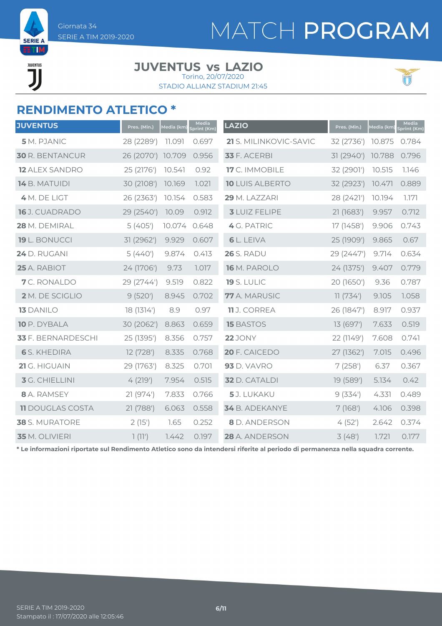

JUVENTUS **JI** 

# MATCH PROGRAM

#### **JUVENTUS LAZIO vs** Torino, 20/07/2020

STADIO ALLIANZ STADIUM 21:45



### **RENDIMENTO ATLETICO \***

| <b>JUVENTUS</b>         | Pres. (Min.) | Media (km) | Media<br>Sprint (Km) | <b>LAZIO</b>           | Pres. (Min.) | Media (km) | Media<br><b>Sprint (Km)</b> |
|-------------------------|--------------|------------|----------------------|------------------------|--------------|------------|-----------------------------|
| 5 M. PJANIC             | 28 (2289')   | 11.091     | 0.697                | 21 S. MILINKOVIC-SAVIC | 32 (2736')   | 10.875     | 0.784                       |
| <b>30 R. BENTANCUR</b>  | 26 (2070')   | 10.709     | 0.956                | <b>33</b> F. ACERBI    | 31 (2940')   | 10.788     | 0.796                       |
| <b>12 ALEX SANDRO</b>   | 25 (2176')   | 10.541     | 0.92                 | <b>17</b> C. IMMOBILE  | 32 (2901')   | 10.515     | 1.146                       |
| 14 B. MATUIDI           | 30 (2108')   | 10.169     | 1.021                | <b>10 LUIS ALBERTO</b> | 32 (2923')   | 10.471     | 0.889                       |
| 4 M. DE LIGT            | 26 (2363')   | 10.154     | 0.583                | 29 M. LAZZARI          | 28 (2421')   | 10.194     | 1.171                       |
| 16 J. CUADRADO          | 29 (2540')   | 10.09      | 0.912                | <b>3</b> LUIZ FELIPE   | 21(1683')    | 9.957      | 0.712                       |
| 28 M. DEMIRAL           | 5(405)       | 10.074     | 0.648                | 4 G. PATRIC            | 17 (1458')   | 9.906      | 0.743                       |
| 19 L. BONUCCI           | 31 (2962')   | 9.929      | 0.607                | <b>6</b> L. LEIVA      | 25 (1909')   | 9.865      | 0.67                        |
| 24 D. RUGANI            | 5(440)       | 9.874      | 0.413                | <b>26</b> S. RADU      | 29 (2447')   | 9.714      | 0.634                       |
| 25 A. RABIOT            | 24 (1706')   | 9.73       | 1.017                | 16 M. PAROLO           | 24 (1375')   | 9.407      | 0.779                       |
| 7 C. RONALDO            | 29 (2744')   | 9.519      | 0.822                | <b>19 S. LULIC</b>     | 20 (1650')   | 9.36       | 0.787                       |
| 2 M. DE SCIGLIO         | 9(520)       | 8.945      | 0.702                | 77 A. MARUSIC          | 11(734)      | 9.105      | 1.058                       |
| <b>13 DANILO</b>        | 18 (1314')   | 8.9        | 0.97                 | 11 J. CORREA           | 26 (1847')   | 8.917      | 0.937                       |
| 10 P. DYBALA            | 30 (2062')   | 8.863      | 0.659                | <b>15 BASTOS</b>       | 13 (697')    | 7.633      | 0.519                       |
| 33 F. BERNARDESCHI      | 25 (1395')   | 8.356      | 0.757                | <b>22</b> JONY         | 22 (1149')   | 7.608      | 0.741                       |
| <b>6</b> S. KHEDIRA     | 12 (728')    | 8.335      | 0.768                | 20 F. CAICEDO          | 27 (1362')   | 7.015      | 0.496                       |
| 21 G. HIGUAIN           | 29 (1763')   | 8.325      | 0.701                | <b>93</b> D. VAVRO     | 7(258)       | 6.37       | 0.367                       |
| 3 G. CHIELLINI          | 4(219)       | 7.954      | 0.515                | <b>32</b> D. CATALDI   | 19 (589')    | 5.134      | 0.42                        |
| 8 A. RAMSEY             | 21 (974')    | 7.833      | 0.766                | 5 J. LUKAKU            | 9(334)       | 4.331      | 0.489                       |
| <b>11 DOUGLAS COSTA</b> | 21 (788')    | 6.063      | 0.558                | 34 B. ADEKANYE         | 7(168)       | 4.106      | 0.398                       |
| <b>38</b> S. MURATORE   | 2(15)        | 1.65       | 0.252                | <b>8</b> D. ANDERSON   | 4(52)        | 2.642      | 0.374                       |
| 35 M. OLIVIERI          | 1(11')       | 7.442      | 0.197                | 28 A. ANDERSON         | 3(48)        | 1.721      | 0.177                       |

**\* Le informazioni riportate sul Rendimento Atletico sono da intendersi riferite al periodo di permanenza nella squadra corrente.**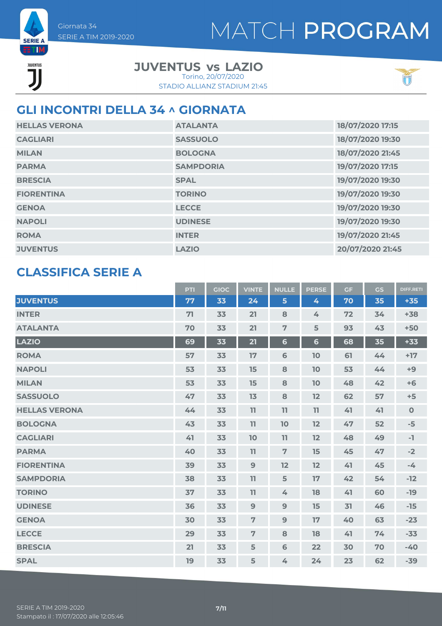



Giornata 34

**JUVENTUS LAZIO vs**

STADIO ALLIANZ STADIUM 21:45 Torino, 20/07/2020



### **GLI INCONTRI DELLA 34 ^ GIORNATA**

| <b>HELLAS VERONA</b> | <b>ATALANTA</b>  | 18/07/2020 17:15 |
|----------------------|------------------|------------------|
| <b>CAGLIARI</b>      | <b>SASSUOLO</b>  | 18/07/2020 19:30 |
| <b>MILAN</b>         | <b>BOLOGNA</b>   | 18/07/2020 21:45 |
| <b>PARMA</b>         | <b>SAMPDORIA</b> | 19/07/2020 17:15 |
| <b>BRESCIA</b>       | <b>SPAL</b>      | 19/07/2020 19:30 |
| <b>FIORENTINA</b>    | <b>TORINO</b>    | 19/07/2020 19:30 |
| <b>GENOA</b>         | <b>LECCE</b>     | 19/07/2020 19:30 |
| <b>NAPOLI</b>        | <b>UDINESE</b>   | 19/07/2020 19:30 |
| <b>ROMA</b>          | <b>INTER</b>     | 19/07/2020 21:45 |
| <b>JUVENTUS</b>      | <b>LAZIO</b>     | 20/07/2020 21:45 |

#### **CLASSIFICA SERIE A**

|                      | <b>PTI</b> | <b>GIOC</b> | <b>VINTE</b>   | <b>NULLE</b>    | <b>PERSE</b>   | <b>GF</b> | <b>GS</b> | <b>DIFF.RETI</b> |
|----------------------|------------|-------------|----------------|-----------------|----------------|-----------|-----------|------------------|
| <b>JUVENTUS</b>      | 77         | 33          | 24             | 5               | 4              | 70        | 35        | $+35$            |
| <b>INTER</b>         | 71         | 33          | 21             | 8               | 4              | 72        | 34        | $+38$            |
| <b>ATALANTA</b>      | 70         | 33          | 21             | $\overline{7}$  | 5              | 93        | 43        | $+50$            |
| <b>LAZIO</b>         | 69         | 33          | 21             | $6\phantom{1}$  | $6\phantom{1}$ | 68        | 35        | $+33$            |
| <b>ROMA</b>          | 57         | 33          | 17             | $6\phantom{1}6$ | 10             | 61        | 44        | $+17$            |
| <b>NAPOLI</b>        | 53         | 33          | 15             | 8               | 10             | 53        | 44        | $+9$             |
| <b>MILAN</b>         | 53         | 33          | 15             | 8               | 10             | 48        | 42        | $+6$             |
| <b>SASSUOLO</b>      | 47         | 33          | 13             | 8               | 12             | 62        | 57        | $+5$             |
| <b>HELLAS VERONA</b> | 44         | 33          | 11             | 11              | 11             | 41        | 41        | $\mathbf 0$      |
| <b>BOLOGNA</b>       | 43         | 33          | 11             | 10              | 12             | 47        | 52        | $-5$             |
| <b>CAGLIARI</b>      | 41         | 33          | 10             | 11              | 12             | 48        | 49        | $-1$             |
| <b>PARMA</b>         | 40         | 33          | 11             | $\overline{7}$  | 15             | 45        | 47        | $-2$             |
| <b>FIORENTINA</b>    | 39         | 33          | 9              | 12              | 12             | 41        | 45        | $-4$             |
| <b>SAMPDORIA</b>     | 38         | 33          | 11             | 5               | 17             | 42        | 54        | $-12$            |
| <b>TORINO</b>        | 37         | 33          | 11             | 4               | 18             | 41        | 60        | $-19$            |
| <b>UDINESE</b>       | 36         | 33          | 9              | 9               | 15             | 31        | 46        | $-15$            |
| <b>GENOA</b>         | 30         | 33          | $\overline{7}$ | 9               | 17             | 40        | 63        | $-23$            |
| <b>LECCE</b>         | 29         | 33          | $\overline{7}$ | 8               | 18             | 41        | 74        | $-33$            |
| <b>BRESCIA</b>       | 21         | 33          | 5              | $\mathbf 6$     | 22             | 30        | 70        | $-40$            |
| <b>SPAL</b>          | 19         | 33          | 5              | 4               | 24             | 23        | 62        | $-39$            |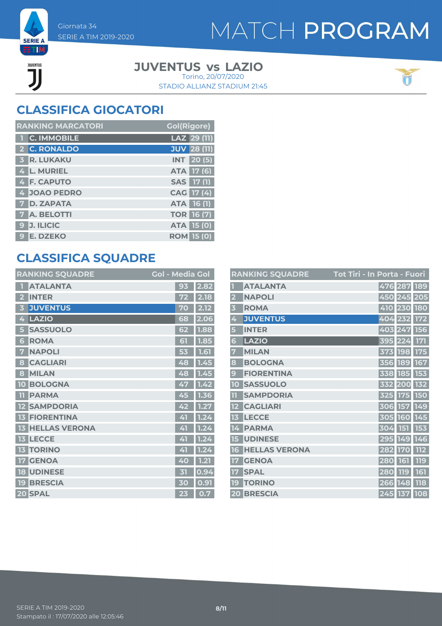

### **ETIM** JUVENTUS ור

#### **JUVENTUS LAZIO vs**

STADIO ALLIANZ STADIUM 21:45 Torino, 20/07/2020



### **CLASSIFICA GIOCATORI**

| <b>RANKING MARCATORI</b> | <b>Gol(Rigore)</b> |
|--------------------------|--------------------|
| 1 C. IMMOBILE            | LAZ 29 (11)        |
| 2 C. RONALDO             | <b>JUV 28 (11)</b> |
| <b>3 R. LUKAKU</b>       | <b>INT</b> 20(5)   |
| 4 L. MURIEL              | ATA 17 (6)         |
| 4 F. CAPUTO              | SAS 17 (1)         |
| 4 JOAO PEDRO             | CAG 17 (4)         |
| <b>7 D. ZAPATA</b>       | <b>ATA 16 (1)</b>  |
| <b>7 A. BELOTTI</b>      | <b>TOR 16 (7)</b>  |
| 9 J. ILICIC              | <b>ATA 15 (0)</b>  |
| 9 E. DZEKO               | <b>ROM 15 (0)</b>  |

### **CLASSIFICA SQUADRE**

|    | <b>RANKING SQUADRE</b> | <b>Gol - Media Gol</b> |      |
|----|------------------------|------------------------|------|
|    | <b>ATALANTA</b>        | 93                     | 2.82 |
| 2  | <b>INTER</b>           | 72                     | 2.18 |
| 3  | <b>JUVENTUS</b>        | 70                     | 2.12 |
| 4  | LAZIO                  | 68                     | 2.06 |
| 5  | <b>SASSUOLO</b>        | 62                     | 1.88 |
| 6  | <b>ROMA</b>            | 51                     | 1.85 |
| 7  | <b>NAPOLI</b>          | 53                     | 1.61 |
| 8  | <b>CAGLIARI</b>        | 48                     | 1.45 |
| 8  | <b>MILAN</b>           | 48                     | 1.45 |
| 10 | <b>BOLOGNA</b>         | 47                     | 1.42 |
| m  | <b>PARMA</b>           | 45                     | 1.36 |
| 12 | <b>SAMPDORIA</b>       | 42                     | 1.27 |
| 13 | <b>FIORENTINA</b>      | 41                     | 1.24 |
| 13 | <b>HELLAS VERONA</b>   | 41                     | 1.24 |
| 13 | <b>LECCE</b>           | 41                     | 1.24 |
| 13 | <b>TORINO</b>          | 41                     | 1.24 |
| 17 | <b>GENOA</b>           | 40                     | 1.21 |
| 18 | <b>UDINESE</b>         | 矴                      | 0.94 |
| 19 | <b>BRESCIA</b>         | 30                     | 0.91 |
|    | 20 SPAL                | 23                     | 0.7  |

|                         | <b>RANKING SQUADRE</b> | <u> Tot Tiri - In Porta - Fuori</u> |
|-------------------------|------------------------|-------------------------------------|
|                         | <b>ATALANTA</b>        | 476 287<br>189                      |
| $\overline{2}$          | <b>NAPOLI</b>          | 450 245 205                         |
| $\overline{\mathbf{3}}$ | <b>ROMA</b>            | 410 230 180                         |
| 4                       | <b>JUVENTUS</b>        | 404 232 172                         |
| 5                       | <b>INTER</b>           | 403 247<br><b>156</b>               |
| 6                       | <b>LAZIO</b>           | 171<br>395<br>224                   |
| 7                       | <b>MILAN</b>           | 373 198<br><b>175</b>               |
| 8                       | <b>BOLOGNA</b>         | 356 189 167                         |
| 9                       | <b>FIORENTINA</b>      | 338 185<br>153                      |
| 10                      | <b>SASSUOLO</b>        | 132<br>332 200                      |
| 11                      | <b>SAMPDORIA</b>       | <b>150</b><br>325 175               |
|                         | <b>CAGLIARI</b>        | 149<br>306 157                      |
| 13                      | <b>LECCE</b>           | 305 160 145                         |
| 14                      | <b>PARMA</b>           | 304 151<br>153                      |
| 15                      | <b>UDINESE</b>         | 295 149<br>146                      |
| 16                      | <b>HELLAS VERONA</b>   | 112<br>282 170                      |
| 17                      | <b>GENOA</b>           | 119<br>280<br><b>161</b>            |
| 17                      | <b>SPAL</b>            | 161<br>280 119                      |
| 19                      | <b>TORINO</b>          | 118<br>148<br>266                   |
|                         | 20 BRESCIA             | 245 137<br>108                      |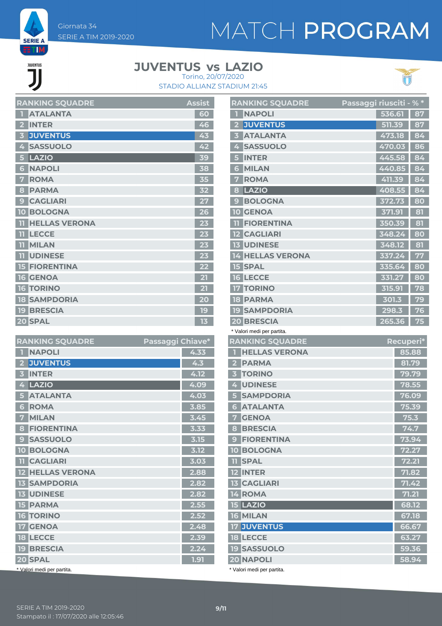

JUVENTUS

#### **JUVENTUS LAZIO vs** Torino, 20/07/2020





| <b>RANKING SQUADRE</b>                     | <b>Assist</b> |
|--------------------------------------------|---------------|
| <b>ATALANTA</b><br>$\hat{\mathbf{v}}$      | 60            |
| <b>INTER</b><br>$\overline{2}$             | 46            |
| <b>JUVENTUS</b><br>$\overline{\mathbf{3}}$ | 43            |
| <b>SASSUOLO</b><br>4                       | 42            |
| LAZIO<br>5                                 | 39            |
| <b>NAPOLI</b><br>6                         | 38            |
| <b>ROMA</b><br>7                           | 35            |
| <b>PARMA</b><br>8                          | 32            |
| <b>CAGLIARI</b><br>$\boldsymbol{9}$        | 27            |
| <b>10 BOLOGNA</b>                          | 26            |
| <b>HELLAS VERONA</b><br>$\overline{11}$    | 23            |
| <b>LECCE</b><br>n                          | 23            |
| <b>MILAN</b>                               | 23            |
| <b>11 UDINESE</b>                          | 23            |
| <b>15 FIORENTINA</b>                       | 22            |
| <b>16 GENOA</b>                            | 21            |
| <b>16 TORINO</b>                           | 21            |
| <b>18 SAMPDORIA</b>                        | 20            |
| <b>19 BRESCIA</b>                          | 19            |
| 20 SPAL                                    | 13            |

| <b>RANKING SQUADRE</b>                     | Passaggi Chiave* |
|--------------------------------------------|------------------|
| <b>NAPOLI</b><br>П                         | 4.33             |
| <b>JUVENTUS</b><br>$\overline{\mathbf{z}}$ | 4.3              |
| <b>INTER</b><br>В                          | 4.12             |
| LAZIO<br>4                                 | 4.09             |
| <b>ATALANTA</b><br>5                       | 4.03             |
| <b>ROMA</b><br>6                           | 3.85             |
| <b>MILAN</b><br>7                          | 3.45             |
| <b>FIORENTINA</b><br>8                     | 3.33             |
| <b>SASSUOLO</b><br>$\mathbf{C}$            | 3.15             |
| <b>10 BOLOGNA</b>                          | 3.12             |
| <b>TI</b> CAGLIARI                         | 3.03             |
| <b>12 HELLAS VERONA</b>                    | 2.88             |
| <b>13 SAMPDORIA</b>                        | 2.82             |
| <b>13 UDINESE</b>                          | 2.82             |
| <b>15 PARMA</b>                            | 2.55             |
| <b>16 TORINO</b>                           | 2.52             |
| <b>17 GENOA</b>                            | 2.48             |
| <b>18 LECCE</b>                            | 2.39             |
| <b>19 BRESCIA</b>                          | 2.24             |
| 20 SPAL                                    | 1.91             |
| * Valori medi per partita.                 |                  |

|                         | <b>RANKING SQUADRE</b>                         | <u>Passaggi riusciti - % *</u> |        |           |
|-------------------------|------------------------------------------------|--------------------------------|--------|-----------|
| П                       | <b>NAPOLI</b>                                  |                                | 536.61 | 87        |
| 2                       | <b>JUVENTUS</b>                                |                                | 511.39 | 87        |
| 3                       | <b>ATALANTA</b>                                |                                | 473.18 | 84        |
| 4                       | <b>SASSUOLO</b>                                |                                | 470.03 | 86        |
|                         | <b>5 INTER</b>                                 |                                | 445.58 | 84        |
| 6                       | <b>MILAN</b>                                   |                                | 440.85 | 84        |
| 7                       | <b>ROMA</b>                                    |                                | 411.39 | 84        |
| 8                       | LAZIO                                          |                                | 408.55 | 84        |
| 9                       | <b>BOLOGNA</b>                                 |                                | 372.73 | 80        |
|                         | <b>10 GENOA</b>                                |                                | 371.91 | 81        |
| m                       | <b>FIORENTINA</b>                              |                                | 350.39 | 81        |
|                         | <b>12 CAGLIARI</b>                             |                                | 348.24 | 80        |
|                         | <b>13 UDINESE</b>                              |                                | 348.12 | 81        |
|                         | <b>14 HELLAS VERONA</b>                        |                                | 337.24 | 77        |
|                         | <b>15 SPAL</b>                                 |                                | 335.64 | 80        |
|                         | <b>16 LECCE</b>                                |                                | 331.27 | 80        |
|                         | <b>17 TORINO</b>                               |                                | 315.91 | 78        |
|                         | <b>18 PARMA</b>                                |                                | 301.3  | 79        |
|                         | <b>19 SAMPDORIA</b>                            |                                | 298.3  | 76        |
|                         | <b>20 BRESCIA</b>                              |                                | 265.36 | 75        |
|                         | * Valori medi per partita.                     |                                |        |           |
|                         | <b>RANKING SQUADRE</b>                         |                                |        | Recuperi* |
| T                       | <b>HELLAS VERONA</b>                           |                                |        | 85.88     |
| 2 <sup>1</sup>          | <b>PARMA</b>                                   |                                |        | 81.79     |
| 3 <sup>1</sup>          | <b>TORINO</b>                                  |                                |        | 79.79     |
|                         | 4 UDINESE                                      |                                |        | 78.55     |
| 5 <sup>1</sup>          | <b>SAMPDORIA</b>                               |                                |        | 76.09     |
| 6 <sup>1</sup>          | <b>ATALANTA</b>                                |                                |        | 75.39     |
| $\overline{\mathbf{7}}$ | <b>GENOA</b>                                   |                                |        | 75.3      |
|                         | <b>8 BRESCIA</b>                               |                                |        | 74.7      |
| 9 <sup>1</sup>          | <b>FIORENTINA</b>                              |                                |        | 73.94     |
|                         | <b>10 BOLOGNA</b>                              |                                |        | 72.27     |
|                         | <b>TI SPAL</b>                                 |                                |        | 72.21     |
|                         | <b>12 INTER</b>                                |                                |        | 71.82     |
|                         | <b>13 CAGLIARI</b>                             |                                |        | 71.42     |
|                         | <b>14 ROMA</b>                                 |                                |        | 71.21     |
|                         | <b>15 LAZIO</b>                                |                                |        | 68.12     |
|                         | <b>16 MILAN</b>                                |                                |        | 67.18     |
|                         |                                                |                                |        |           |
|                         | <b>17 JUVENTUS</b>                             |                                |        | 66.67     |
|                         | <b>18 LECCE</b>                                |                                |        | 63.27     |
|                         | <b>19 SASSUOLO</b>                             |                                |        | 59.36     |
|                         | <b>20 NAPOLI</b><br>* Valori medi per partita. |                                |        | 58.94     |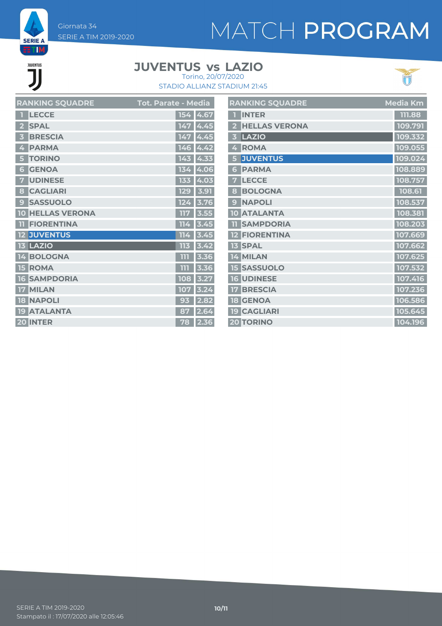Giornata 34 SERIE A TIM 2019-2020

# MATCH PROGRAM

**EETIM JUVENTUS** 

**SERIE A** 

#### **JUVENTUS LAZIO vs** Torino, 20/07/2020





|                         | <b>RANKING SQUADRE</b>  | Tot. Parate - M <u>edia</u> |      | $\mathbf{R}$             |
|-------------------------|-------------------------|-----------------------------|------|--------------------------|
|                         | <b>LECCE</b>            | 154                         | 4.67 | $\overline{\mathbf{1}}$  |
| $\overline{\mathbf{2}}$ | <b>SPAL</b>             | 147                         | 4.45 | $\overline{\mathbf{c}}$  |
| 3                       | <b>BRESCIA</b>          | 147                         | 4.45 | $\overline{\mathbf{3}}$  |
| 4                       | <b>PARMA</b>            | 146                         | 4.42 | 4                        |
| 5                       | <b>TORINO</b>           | 143                         | 4.33 | 5                        |
| 6                       | <b>GENOA</b>            | 134                         | 4.06 | 6                        |
| 7                       | <b>UDINESE</b>          | 133                         | 4.03 | 7                        |
| $\boldsymbol{8}$        | <b>CAGLIARI</b>         | <b>129</b>                  | 3.91 | 8                        |
| $\boldsymbol{9}$        | <b>SASSUOLO</b>         | 124                         | 3.76 | 9                        |
|                         | <b>10 HELLAS VERONA</b> | 117                         | 3.55 | $\overline{\mathbf{10}}$ |
| $\overline{11}$         | <b>FIORENTINA</b>       | 114                         | 3.45 | T                        |
|                         | <b>12 JUVENTUS</b>      | 114                         | 3.45 | 12                       |
|                         | <b>13 LAZIO</b>         | 113                         | 3.42 | 13                       |
|                         | 14 BOLOGNA              | 111                         | 3.36 | $\mathbf{1}$             |
|                         | <b>15 ROMA</b>          | 111                         | 3.36 | 15                       |
| 16                      | <b>SAMPDORIA</b>        | 108                         | 3.27 | $\overline{\mathsf{R}}$  |
| 17                      | <b>MILAN</b>            | 107                         | 3.24 | 17                       |
|                         | <b>18 NAPOLI</b>        | 93                          | 2.82 | 18                       |
|                         | <b>19 ATALANTA</b>      | 87                          | 2.64 | <b>19</b>                |
|                         | <b>20 INTER</b>         | 78                          | 2.36 | $\overline{2}$           |

|                         | <b>RANKING SQUADRE</b> | Media Km |
|-------------------------|------------------------|----------|
|                         | <b>INTER</b>           | 111.88   |
| $\overline{\mathbf{2}}$ | <b>HELLAS VERONA</b>   | 109.791  |
| 3                       | LAZIO                  | 109.332  |
| 4                       | <b>ROMA</b>            | 109.055  |
| 5                       | <b>JUVENTUS</b>        | 109.024  |
| $6\phantom{1}$          | <b>PARMA</b>           | 108.889  |
| 7                       | <b>LECCE</b>           | 108.757  |
| 8                       | <b>BOLOGNA</b>         | 108.61   |
| 9                       | <b>NAPOLI</b>          | 108.537  |
|                         | <b>10 ATALANTA</b>     | 108.381  |
| $\overline{\mathbf{1}}$ | <b>SAMPDORIA</b>       | 108.203  |
|                         | <b>12 FIORENTINA</b>   | 107.669  |
|                         | <b>13 SPAL</b>         | 107.662  |
|                         | 14 MILAN               | 107.625  |
|                         | <b>15 SASSUOLO</b>     | 107.532  |
|                         | <b>16 UDINESE</b>      | 107.416  |
| <b>17</b>               | <b>BRESCIA</b>         | 107.236  |
|                         | <b>18 GENOA</b>        | 106.586  |
|                         | <b>19 CAGLIARI</b>     | 105.645  |
|                         | <b>20 TORINO</b>       | 104.196  |